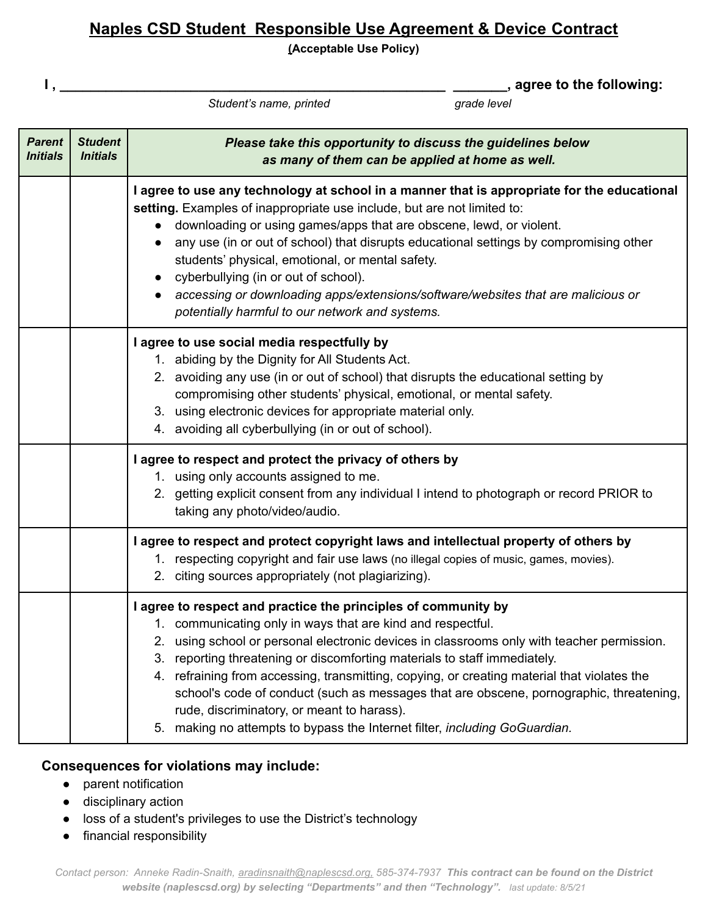# **Naples CSD Student Responsible Use Agreement & Device Contract**

**(Acceptable Use Policy)**

*Student's name, printed grade level*

**I , \_\_\_\_\_\_\_\_\_\_\_\_\_\_\_\_\_\_\_\_\_\_\_\_\_\_\_\_\_\_\_\_\_\_\_\_\_\_\_\_\_\_\_\_\_\_\_\_\_\_ \_\_\_\_\_\_\_, agree to the following:**

| <b>Parent</b><br><b>Initials</b> | <b>Student</b><br><i><b>Initials</b></i> | Please take this opportunity to discuss the guidelines below<br>as many of them can be applied at home as well.                                                                                                                                                                                                                                                                                                                                                                                                                                                                                                                   |
|----------------------------------|------------------------------------------|-----------------------------------------------------------------------------------------------------------------------------------------------------------------------------------------------------------------------------------------------------------------------------------------------------------------------------------------------------------------------------------------------------------------------------------------------------------------------------------------------------------------------------------------------------------------------------------------------------------------------------------|
|                                  |                                          | I agree to use any technology at school in a manner that is appropriate for the educational<br>setting. Examples of inappropriate use include, but are not limited to:<br>downloading or using games/apps that are obscene, lewd, or violent.<br>any use (in or out of school) that disrupts educational settings by compromising other<br>students' physical, emotional, or mental safety.<br>cyberbullying (in or out of school).<br>$\bullet$<br>accessing or downloading apps/extensions/software/websites that are malicious or<br>potentially harmful to our network and systems.                                           |
|                                  |                                          | I agree to use social media respectfully by<br>1. abiding by the Dignity for All Students Act.<br>2. avoiding any use (in or out of school) that disrupts the educational setting by<br>compromising other students' physical, emotional, or mental safety.<br>3. using electronic devices for appropriate material only.<br>4. avoiding all cyberbullying (in or out of school).                                                                                                                                                                                                                                                 |
|                                  |                                          | I agree to respect and protect the privacy of others by<br>1. using only accounts assigned to me.<br>2. getting explicit consent from any individual I intend to photograph or record PRIOR to<br>taking any photo/video/audio.                                                                                                                                                                                                                                                                                                                                                                                                   |
|                                  |                                          | I agree to respect and protect copyright laws and intellectual property of others by<br>1. respecting copyright and fair use laws (no illegal copies of music, games, movies).<br>2. citing sources appropriately (not plagiarizing).                                                                                                                                                                                                                                                                                                                                                                                             |
|                                  |                                          | I agree to respect and practice the principles of community by<br>1. communicating only in ways that are kind and respectful.<br>2. using school or personal electronic devices in classrooms only with teacher permission.<br>3. reporting threatening or discomforting materials to staff immediately.<br>refraining from accessing, transmitting, copying, or creating material that violates the<br>4.<br>school's code of conduct (such as messages that are obscene, pornographic, threatening,<br>rude, discriminatory, or meant to harass).<br>5. making no attempts to bypass the Internet filter, including GoGuardian. |

### **Consequences for violations may include:**

- parent notification
- disciplinary action
- loss of a student's privileges to use the District's technology
- financial responsibility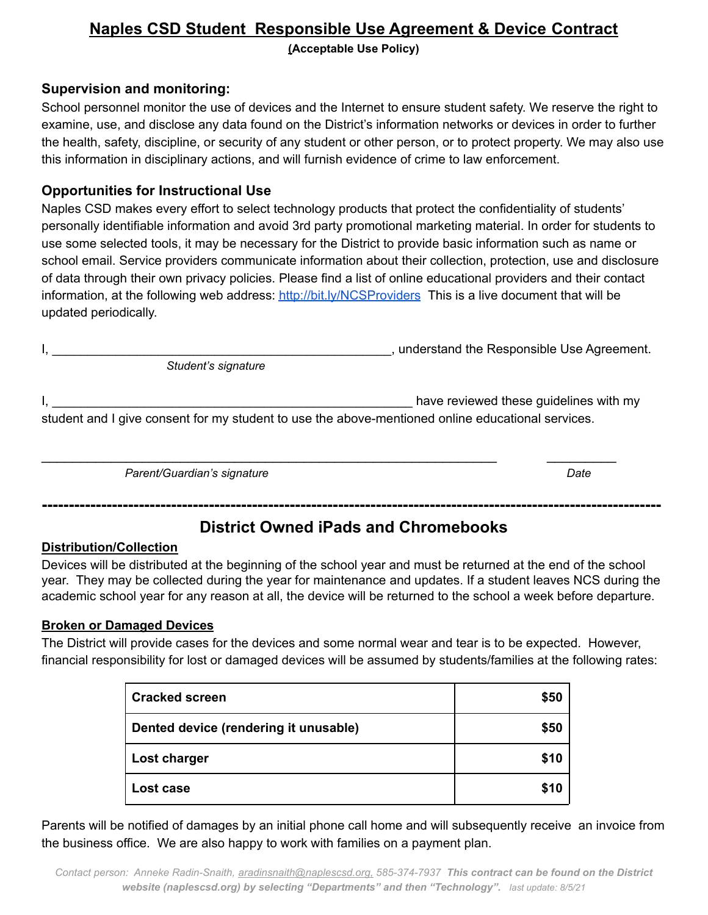## **Naples CSD Student Responsible Use Agreement & Device Contract (Acceptable Use Policy)**

#### **Supervision and monitoring:**

School personnel monitor the use of devices and the Internet to ensure student safety. We reserve the right to examine, use, and disclose any data found on the District's information networks or devices in order to further the health, safety, discipline, or security of any student or other person, or to protect property. We may also use this information in disciplinary actions, and will furnish evidence of crime to law enforcement.

#### **Opportunities for Instructional Use**

Naples CSD makes every effort to select technology products that protect the confidentiality of students' personally identifiable information and avoid 3rd party promotional marketing material. In order for students to use some selected tools, it may be necessary for the District to provide basic information such as name or school email. Service providers communicate information about their collection, protection, use and disclosure of data through their own privacy policies. Please find a list of online educational providers and their contact information, at the following web address: <http://bit.ly/NCSProviders> This is a live document that will be updated periodically.

|                     | understand the Responsible Use Agreement. |
|---------------------|-------------------------------------------|
| Student's signature |                                           |
|                     |                                           |

I, the contract of the contract of the contract of the contract of the contract of the contract of the contract of the contract of the contract of the contract of the contract of the contract of the contract of the contrac student and I give consent for my student to use the above-mentioned online educational services.

\_\_\_\_\_\_\_\_\_\_\_\_\_\_\_\_\_\_\_\_\_\_\_\_\_\_\_\_\_\_\_\_\_\_\_\_\_\_\_\_\_\_\_\_\_\_\_\_\_\_\_\_\_\_\_\_\_\_\_ \_\_\_\_\_\_\_\_\_

*Parent/Guardian's signature Date*

# **District Owned iPads and Chromebooks**

**-------------------------------------------------------------------------------------------------------------------**

#### **Distribution/Collection**

Devices will be distributed at the beginning of the school year and must be returned at the end of the school year. They may be collected during the year for maintenance and updates. If a student leaves NCS during the academic school year for any reason at all, the device will be returned to the school a week before departure.

#### **Broken or Damaged Devices**

The District will provide cases for the devices and some normal wear and tear is to be expected. However, financial responsibility for lost or damaged devices will be assumed by students/families at the following rates:

| <b>Cracked screen</b>                 | \$50 |
|---------------------------------------|------|
| Dented device (rendering it unusable) | \$50 |
| Lost charger                          | \$10 |
| Lost case                             | \$10 |

Parents will be notified of damages by an initial phone call home and will subsequently receive an invoice from the business office. We are also happy to work with families on a payment plan.